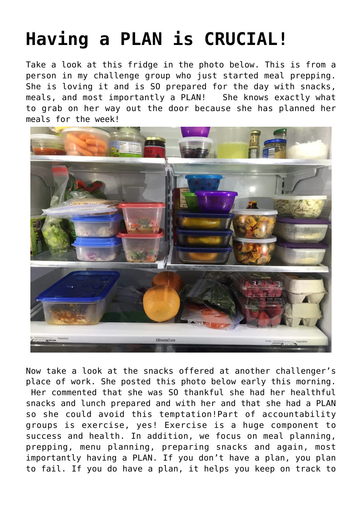## **[Having a PLAN is CRUCIAL!](https://alethiatruefit.com/uncategorized/having-a-plan-is-crucial/)**

Take a look at this fridge in the photo below. This is from a person in my challenge group who just started meal prepping. She is loving it and is SO prepared for the day with snacks, meals, and most importantly a PLAN! She knows exactly what to grab on her way out the door because she has planned her meals for the week!



Now take a look at the snacks offered at another challenger's place of work. She posted this photo below early this morning. Her commented that she was SO thankful she had her healthful snacks and lunch prepared and with her and that she had a PLAN so she could avoid this temptation!Part of accountability groups is exercise, yes! Exercise is a huge component to success and health. In addition, we focus on meal planning, prepping, menu planning, preparing snacks and again, most importantly having a PLAN. If you don't have a plan, you plan to fail. If you do have a plan, it helps you keep on track to